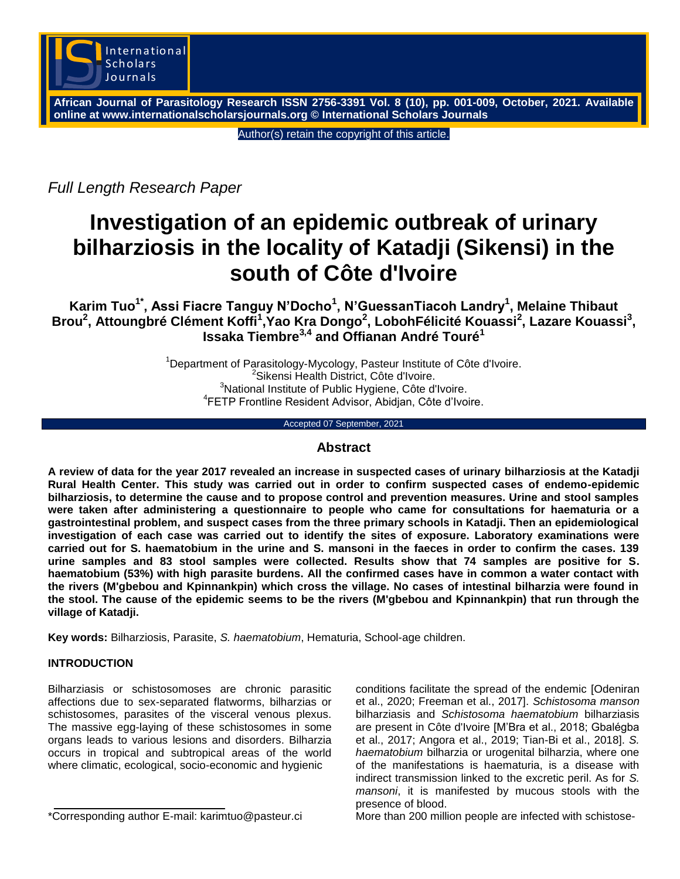

**African Journal of Parasitology Research ISSN 2756-3391 Vol. 8 (10), pp. 001-009, October, 2021. Available online at www.internationalscholarsjournals.org © International Scholars Journals**

Author(s) retain the copyright of this article.

*Full Length Research Paper*

# **Investigation of an epidemic outbreak of urinary bilharziosis in the locality of Katadji (Sikensi) in the south of Côte d'Ivoire**

**Karim Tuo1\*, Assi Fiacre Tanguy N'Docho<sup>1</sup> , N'GuessanTiacoh Landry<sup>1</sup> , Melaine Thibaut Brou<sup>2</sup> , Attoungbré Clément Koffi<sup>1</sup> ,Yao Kra Dongo<sup>2</sup> , LobohFélicité Kouassi<sup>2</sup> , Lazare Kouassi<sup>3</sup> , Issaka Tiembre3,4 and Offianan André Touré<sup>1</sup>**

> <sup>1</sup>Department of Parasitology-Mycology, Pasteur Institute of Côte d'Ivoire. <sup>2</sup>Sikensi Health District, Côte d'Ivoire. <sup>3</sup>National Institute of Public Hygiene, Côte d'Ivoire. 4 FETP Frontline Resident Advisor, Abidjan, Côte d'Ivoire.

#### Accepted 07 September, 2021

# **Abstract**

**A review of data for the year 2017 revealed an increase in suspected cases of urinary bilharziosis at the Katadji Rural Health Center. This study was carried out in order to confirm suspected cases of endemo-epidemic bilharziosis, to determine the cause and to propose control and prevention measures. Urine and stool samples were taken after administering a questionnaire to people who came for consultations for haematuria or a gastrointestinal problem, and suspect cases from the three primary schools in Katadji. Then an epidemiological investigation of each case was carried out to identify the sites of exposure. Laboratory examinations were carried out for S. haematobium in the urine and S. mansoni in the faeces in order to confirm the cases. 139 urine samples and 83 stool samples were collected. Results show that 74 samples are positive for S. haematobium (53%) with high parasite burdens. All the confirmed cases have in common a water contact with the rivers (M'gbebou and Kpinnankpin) which cross the village. No cases of intestinal bilharzia were found in the stool. The cause of the epidemic seems to be the rivers (M'gbebou and Kpinnankpin) that run through the village of Katadji.**

**Key words:** Bilharziosis, Parasite, *S. haematobium*, Hematuria, School-age children.

# **INTRODUCTION**

Bilharziasis or schistosomoses are chronic parasitic affections due to sex-separated flatworms, bilharzias or schistosomes, parasites of the visceral venous plexus. The massive egg-laying of these schistosomes in some organs leads to various lesions and disorders. Bilharzia occurs in tropical and subtropical areas of the world where climatic, ecological, socio-economic and hygienic

\*Corresponding author E-mail: karimtuo@pasteur.ci

conditions facilitate the spread of the endemic [Odeniran et al., 2020; Freeman et al., 2017]. *Schistosoma manson* bilharziasis and *Schistosoma haematobium* bilharziasis are present in Côte d'Ivoire [M'Bra et al., 2018; Gbalégba et al., 2017; Angora et al., 2019; Tian-Bi et al., 2018]. *S. haematobium* bilharzia or urogenital bilharzia, where one of the manifestations is haematuria, is a disease with indirect transmission linked to the excretic peril. As for *S. mansoni*, it is manifested by mucous stools with the presence of blood.

More than 200 million people are infected with schistose-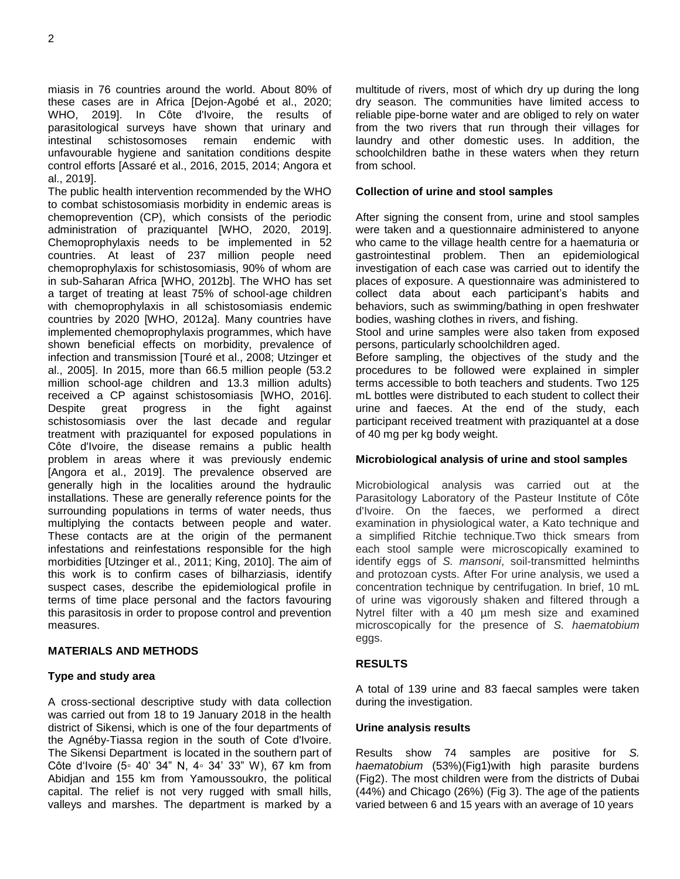miasis in 76 countries around the world. About 80% of these cases are in Africa [Dejon-Agobé et al., 2020; WHO, 2019]. In Côte d'Ivoire, the results of parasitological surveys have shown that urinary and intestinal schistosomoses remain endemic with unfavourable hygiene and sanitation conditions despite control efforts [Assaré et al., 2016, 2015, 2014; Angora et al., 2019].

The public health intervention recommended by the WHO to combat schistosomiasis morbidity in endemic areas is chemoprevention (CP), which consists of the periodic administration of praziquantel [WHO, 2020, 2019]. Chemoprophylaxis needs to be implemented in 52 countries. At least of 237 million people need chemoprophylaxis for schistosomiasis, 90% of whom are in sub-Saharan Africa [WHO, 2012b]. The WHO has set a target of treating at least 75% of school-age children with chemoprophylaxis in all schistosomiasis endemic countries by 2020 [WHO, 2012a]. Many countries have implemented chemoprophylaxis programmes, which have shown beneficial effects on morbidity, prevalence of infection and transmission [Touré et al., 2008; Utzinger et al., 2005]. In 2015, more than 66.5 million people (53.2 million school-age children and 13.3 million adults) received a CP against schistosomiasis [WHO, 2016]. Despite great progress in the fight against schistosomiasis over the last decade and regular treatment with praziquantel for exposed populations in Côte d'Ivoire, the disease remains a public health problem in areas where it was previously endemic [Angora et al., 2019]. The prevalence observed are generally high in the localities around the hydraulic installations. These are generally reference points for the surrounding populations in terms of water needs, thus multiplying the contacts between people and water. These contacts are at the origin of the permanent infestations and reinfestations responsible for the high morbidities [Utzinger et al., 2011; King, 2010]. The aim of this work is to confirm cases of bilharziasis, identify suspect cases, describe the epidemiological profile in terms of time place personal and the factors favouring this parasitosis in order to propose control and prevention measures.

# **MATERIALS AND METHODS**

#### **Type and study area**

A cross-sectional descriptive study with data collection was carried out from 18 to 19 January 2018 in the health district of Sikensi, which is one of the four departments of the Agnéby-Tiassa region in the south of Cote d'Ivoire. The Sikensi Department is located in the southern part of Côte d'Ivoire (5◦ 40' 34" N, 4◦ 34' 33" W), 67 km from Abidjan and 155 km from Yamoussoukro, the political capital. The relief is not very rugged with small hills, valleys and marshes. The department is marked by a

multitude of rivers, most of which dry up during the long dry season. The communities have limited access to reliable pipe-borne water and are obliged to rely on water from the two rivers that run through their villages for laundry and other domestic uses. In addition, the schoolchildren bathe in these waters when they return from school.

#### **Collection of urine and stool samples**

After signing the consent from, urine and stool samples were taken and a questionnaire administered to anyone who came to the village health centre for a haematuria or gastrointestinal problem. Then an epidemiological investigation of each case was carried out to identify the places of exposure. A questionnaire was administered to collect data about each participant's habits and behaviors, such as swimming/bathing in open freshwater bodies, washing clothes in rivers, and fishing.

Stool and urine samples were also taken from exposed persons, particularly schoolchildren aged.

Before sampling, the objectives of the study and the procedures to be followed were explained in simpler terms accessible to both teachers and students. Two 125 mL bottles were distributed to each student to collect their urine and faeces. At the end of the study, each participant received treatment with praziquantel at a dose of 40 mg per kg body weight.

#### **Microbiological analysis of urine and stool samples**

Microbiological analysis was carried out at the Parasitology Laboratory of the Pasteur Institute of Côte d'Ivoire. On the faeces, we performed a direct examination in physiological water, a Kato technique and a simplified Ritchie technique.Two thick smears from each stool sample were microscopically examined to identify eggs of *S. mansoni*, soil-transmitted helminths and protozoan cysts. After For urine analysis, we used a concentration technique by centrifugation. In brief, 10 mL of urine was vigorously shaken and filtered through a Nytrel filter with a 40 µm mesh size and examined microscopically for the presence of *S. haematobium* eggs.

#### **RESULTS**

A total of 139 urine and 83 faecal samples were taken during the investigation.

### **Urine analysis results**

Results show 74 samples are positive for *S. haematobium* (53%)(Fig1)with high parasite burdens (Fig2). The most children were from the districts of Dubai (44%) and Chicago (26%) (Fig 3). The age of the patients varied between 6 and 15 years with an average of 10 years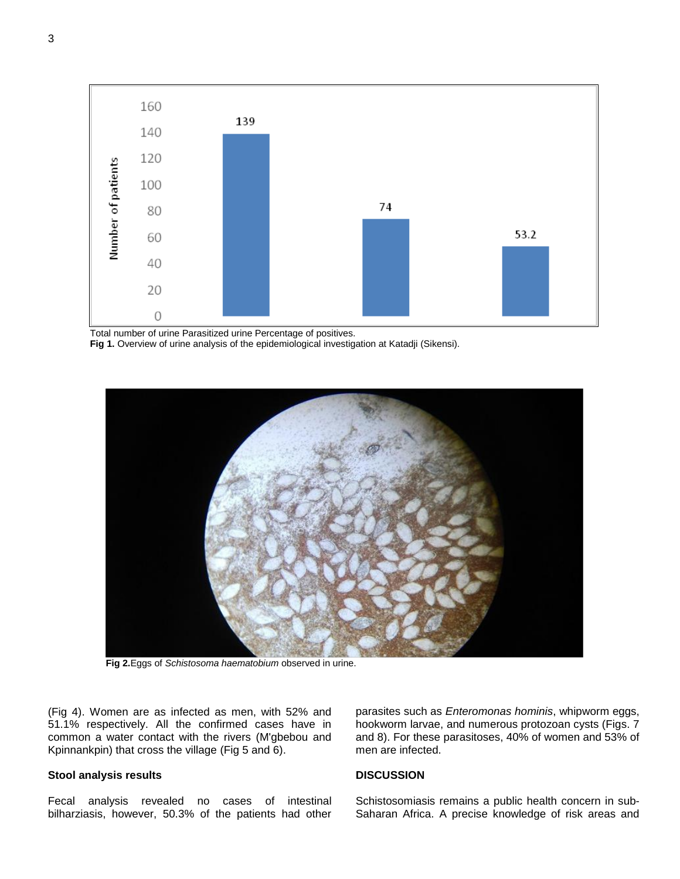

Total number of urine Parasitized urine Percentage of positives.

 **Fig 1.** Overview of urine analysis of the epidemiological investigation at Katadji (Sikensi).



 **Fig 2.**Eggs of *Schistosoma haematobium* observed in urine.

(Fig 4). Women are as infected as men, with 52% and 51.1% respectively. All the confirmed cases have in common a water contact with the rivers (M'gbebou and Kpinnankpin) that cross the village (Fig 5 and 6).

# **Stool analysis results**

Fecal analysis revealed no cases of intestinal bilharziasis, however, 50.3% of the patients had other

parasites such as *Enteromonas hominis*, whipworm eggs, hookworm larvae, and numerous protozoan cysts (Figs. 7 and 8). For these parasitoses, 40% of women and 53% of men are infected.

# **DISCUSSION**

Schistosomiasis remains a public health concern in sub-Saharan Africa. A precise knowledge of risk areas and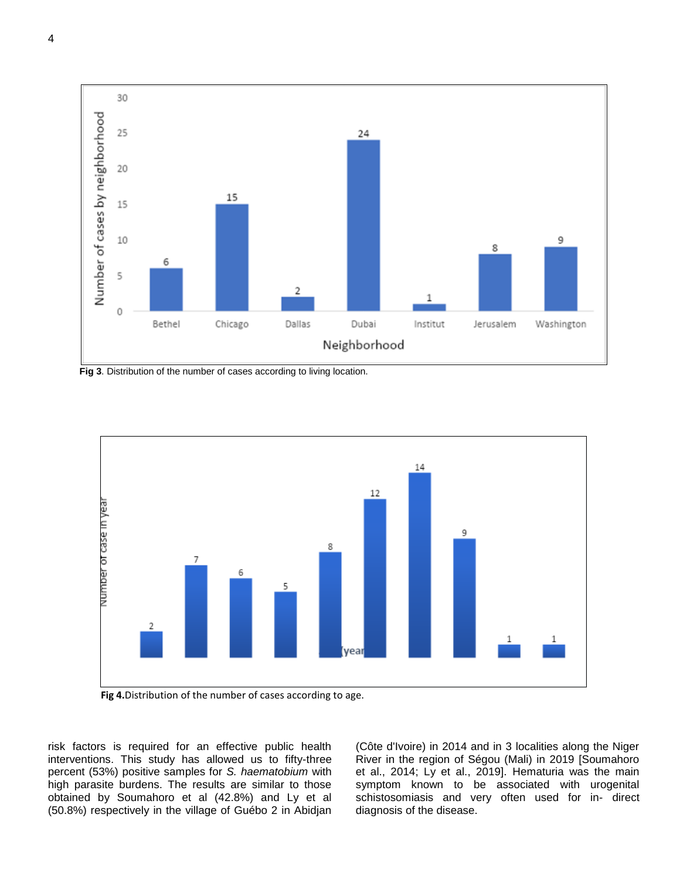

 **Fig 3**. Distribution of the number of cases according to living location.



 **Fig 4.**Distribution of the number of cases according to age.

risk factors is required for an effective public health interventions. This study has allowed us to fifty-three percent (53%) positive samples for *S. haematobium* with high parasite burdens. The results are similar to those obtained by Soumahoro et al (42.8%) and Ly et al (50.8%) respectively in the village of Guébo 2 in Abidjan

(Côte d'Ivoire) in 2014 and in 3 localities along the Niger River in the region of Ségou (Mali) in 2019 [Soumahoro et al., 2014; Ly et al., 2019]. Hematuria was the main symptom known to be associated with urogenital schistosomiasis and very often used for in- direct diagnosis of the disease.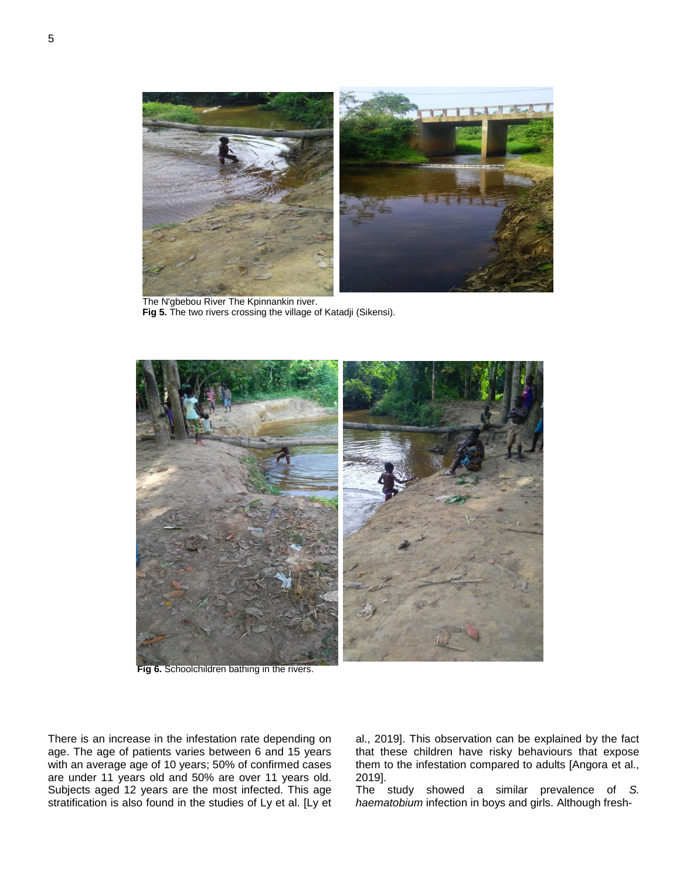

 The N'gbebou River The Kpinnankin river.  **Fig 5.** The two rivers crossing the village of Katadji (Sikensi).



**Fig 6.** Schoolchildren bathing in the rivers.

There is an increase in the infestation rate depending on age. The age of patients varies between 6 and 15 years with an average age of 10 years; 50% of confirmed cases are under 11 years old and 50% are over 11 years old. Subjects aged 12 years are the most infected. This age stratification is also found in the studies of Ly et al. [Ly et al., 2019]. This observation can be explained by the fact that these children have risky behaviours that expose them to the infestation compared to adults [Angora et al., 2019].

The study showed a similar prevalence of *S. haematobium* infection in boys and girls. Although fresh-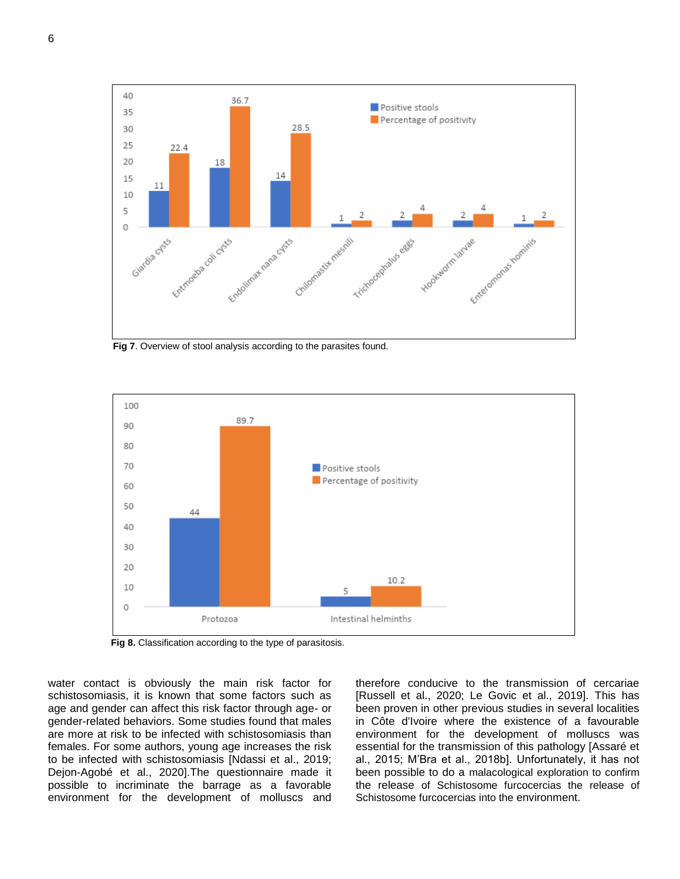

**Fig 7**. Overview of stool analysis according to the parasites found.



 **Fig 8.** Classification according to the type of parasitosis.

water contact is obviously the main risk factor for schistosomiasis, it is known that some factors such as age and gender can affect this risk factor through age- or gender-related behaviors. Some studies found that males are more at risk to be infected with schistosomiasis than females. For some authors, young age increases the risk to be infected with schistosomiasis [Ndassi et al., 2019; Dejon-Agobé et al., 2020].The questionnaire made it possible to incriminate the barrage as a favorable environment for the development of molluscs and

therefore conducive to the transmission of cercariae [Russell et al., 2020; Le Govic et al., 2019]. This has been proven in other previous studies in several localities in Côte d'Ivoire where the existence of a favourable environment for the development of molluscs was essential for the transmission of this pathology [Assaré et al., 2015; M'Bra et al., 2018b]. Unfortunately, it has not been possible to do a malacological exploration to confirm the release of Schistosome furcocercias the release of Schistosome furcocercias into the environment.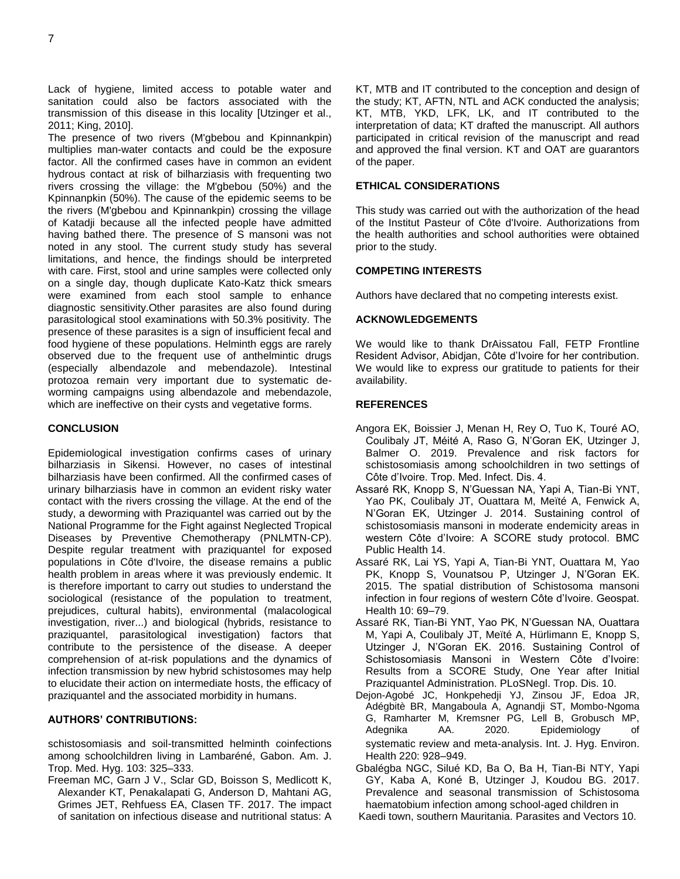Lack of hygiene, limited access to potable water and sanitation could also be factors associated with the transmission of this disease in this locality [Utzinger et al., 2011; King, 2010].

The presence of two rivers (M'gbebou and Kpinnankpin) multiplies man-water contacts and could be the exposure factor. All the confirmed cases have in common an evident hydrous contact at risk of bilharziasis with frequenting two rivers crossing the village: the M'gbebou (50%) and the Kpinnanpkin (50%). The cause of the epidemic seems to be the rivers (M'gbebou and Kpinnankpin) crossing the village of Katadji because all the infected people have admitted having bathed there. The presence of S mansoni was not noted in any stool. The current study study has several limitations, and hence, the findings should be interpreted with care. First, stool and urine samples were collected only on a single day, though duplicate Kato-Katz thick smears were examined from each stool sample to enhance diagnostic sensitivity.Other parasites are also found during parasitological stool examinations with 50.3% positivity. The presence of these parasites is a sign of insufficient fecal and food hygiene of these populations. Helminth eggs are rarely observed due to the frequent use of anthelmintic drugs (especially albendazole and mebendazole). Intestinal protozoa remain very important due to systematic deworming campaigns using albendazole and mebendazole, which are ineffective on their cysts and vegetative forms.

# **CONCLUSION**

Epidemiological investigation confirms cases of urinary bilharziasis in Sikensi. However, no cases of intestinal bilharziasis have been confirmed. All the confirmed cases of urinary bilharziasis have in common an evident risky water contact with the rivers crossing the village. At the end of the study, a deworming with Praziquantel was carried out by the National Programme for the Fight against Neglected Tropical Diseases by Preventive Chemotherapy (PNLMTN-CP). Despite regular treatment with praziquantel for exposed populations in Côte d'Ivoire, the disease remains a public health problem in areas where it was previously endemic. It is therefore important to carry out studies to understand the sociological (resistance of the population to treatment, prejudices, cultural habits), environmental (malacological investigation, river...) and biological (hybrids, resistance to praziquantel, parasitological investigation) factors that contribute to the persistence of the disease. A deeper comprehension of at-risk populations and the dynamics of infection transmission by new hybrid schistosomes may help to elucidate their action on intermediate hosts, the efficacy of praziquantel and the associated morbidity in humans.

#### **AUTHORS' CONTRIBUTIONS:**

schistosomiasis and soil-transmitted helminth coinfections among schoolchildren living in Lambaréné, Gabon. Am. J. Trop. Med. Hyg. 103: 325–333.

Freeman MC, Garn J V., Sclar GD, Boisson S, Medlicott K, Alexander KT, Penakalapati G, Anderson D, Mahtani AG, Grimes JET, Rehfuess EA, Clasen TF. 2017. The impact of sanitation on infectious disease and nutritional status: A

KT, MTB and IT contributed to the conception and design of the study; KT, AFTN, NTL and ACK conducted the analysis; KT, MTB, YKD, LFK, LK, and IT contributed to the interpretation of data; KT drafted the manuscript. All authors participated in critical revision of the manuscript and read and approved the final version. KT and OAT are guarantors of the paper.

### **ETHICAL CONSIDERATIONS**

This study was carried out with the authorization of the head of the Institut Pasteur of Côte d'Ivoire. Authorizations from the health authorities and school authorities were obtained prior to the study.

#### **COMPETING INTERESTS**

Authors have declared that no competing interests exist.

#### **ACKNOWLEDGEMENTS**

We would like to thank DrAissatou Fall, FETP Frontline Resident Advisor, Abidjan, Côte d'Ivoire for her contribution. We would like to express our gratitude to patients for their availability.

#### **REFERENCES**

- Angora EK, Boissier J, Menan H, Rey O, Tuo K, Touré AO, Coulibaly JT, Méité A, Raso G, N'Goran EK, Utzinger J, Balmer O. 2019. Prevalence and risk factors for schistosomiasis among schoolchildren in two settings of Côte d'Ivoire. Trop. Med. Infect. Dis. 4.
- Assaré RK, Knopp S, N'Guessan NA, Yapi A, Tian-Bi YNT, Yao PK, Coulibaly JT, Ouattara M, Meïté A, Fenwick A, N'Goran EK, Utzinger J. 2014. Sustaining control of schistosomiasis mansoni in moderate endemicity areas in western Côte d'Ivoire: A SCORE study protocol. BMC Public Health 14.
- Assaré RK, Lai YS, Yapi A, Tian-Bi YNT, Ouattara M, Yao PK, Knopp S, Vounatsou P, Utzinger J, N'Goran EK. 2015. The spatial distribution of Schistosoma mansoni infection in four regions of western Côte d'Ivoire. Geospat. Health 10: 69–79.
- Assaré RK, Tian-Bi YNT, Yao PK, N'Guessan NA, Ouattara M, Yapi A, Coulibaly JT, Meïté A, Hürlimann E, Knopp S, Utzinger J, N'Goran EK. 2016. Sustaining Control of Schistosomiasis Mansoni in Western Côte d'Ivoire: Results from a SCORE Study, One Year after Initial Praziquantel Administration. PLoSNegl. Trop. Dis. 10.
- Dejon-Agobé JC, Honkpehedji YJ, Zinsou JF, Edoa JR, Adégbitè BR, Mangaboula A, Agnandji ST, Mombo-Ngoma G, Ramharter M, Kremsner PG, Lell B, Grobusch MP, Adegnika AA. 2020. Epidemiology of systematic review and meta-analysis. Int. J. Hyg. Environ. Health 220: 928–949.
- Gbalégba NGC, Silué KD, Ba O, Ba H, Tian-Bi NTY, Yapi GY, Kaba A, Koné B, Utzinger J, Koudou BG. 2017. Prevalence and seasonal transmission of Schistosoma haematobium infection among school-aged children in
- Kaedi town, southern Mauritania. Parasites and Vectors 10.